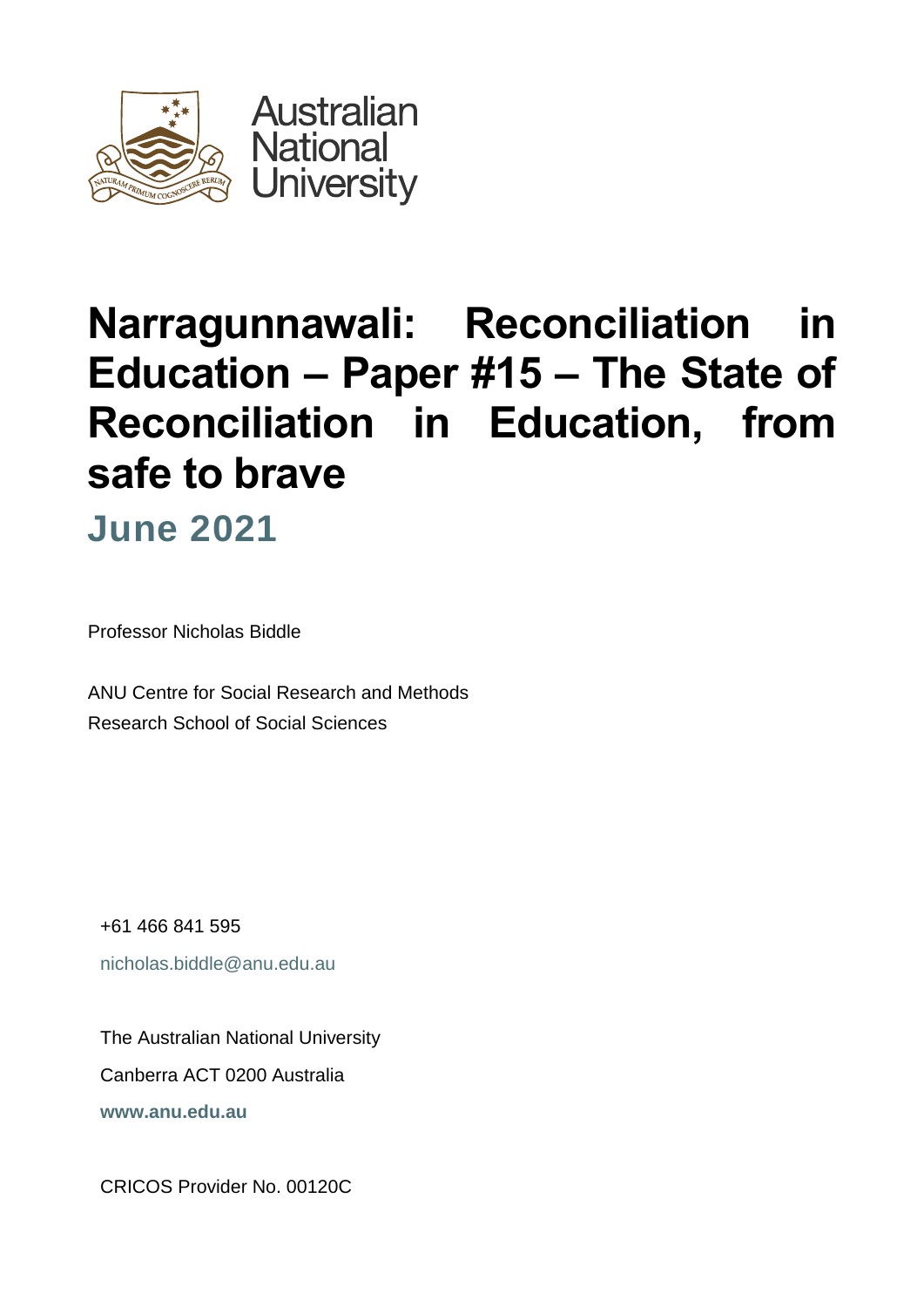

# **Narragunnawali: Reconciliation in Education** *–* **Paper #15 – The State of Reconciliation in Education, from safe to brave**

**June 2021**

Professor Nicholas Biddle

ANU Centre for Social Research and Methods Research School of Social Sciences

+61 466 841 595 [nicholas.biddle@anu.edu.au](mailto:name@anu.edu.au)

The Australian National University Canberra ACT 0200 Australia **[www.anu.edu.au](http://www.anu.edu.au/)**

CRICOS Provider No. 00120C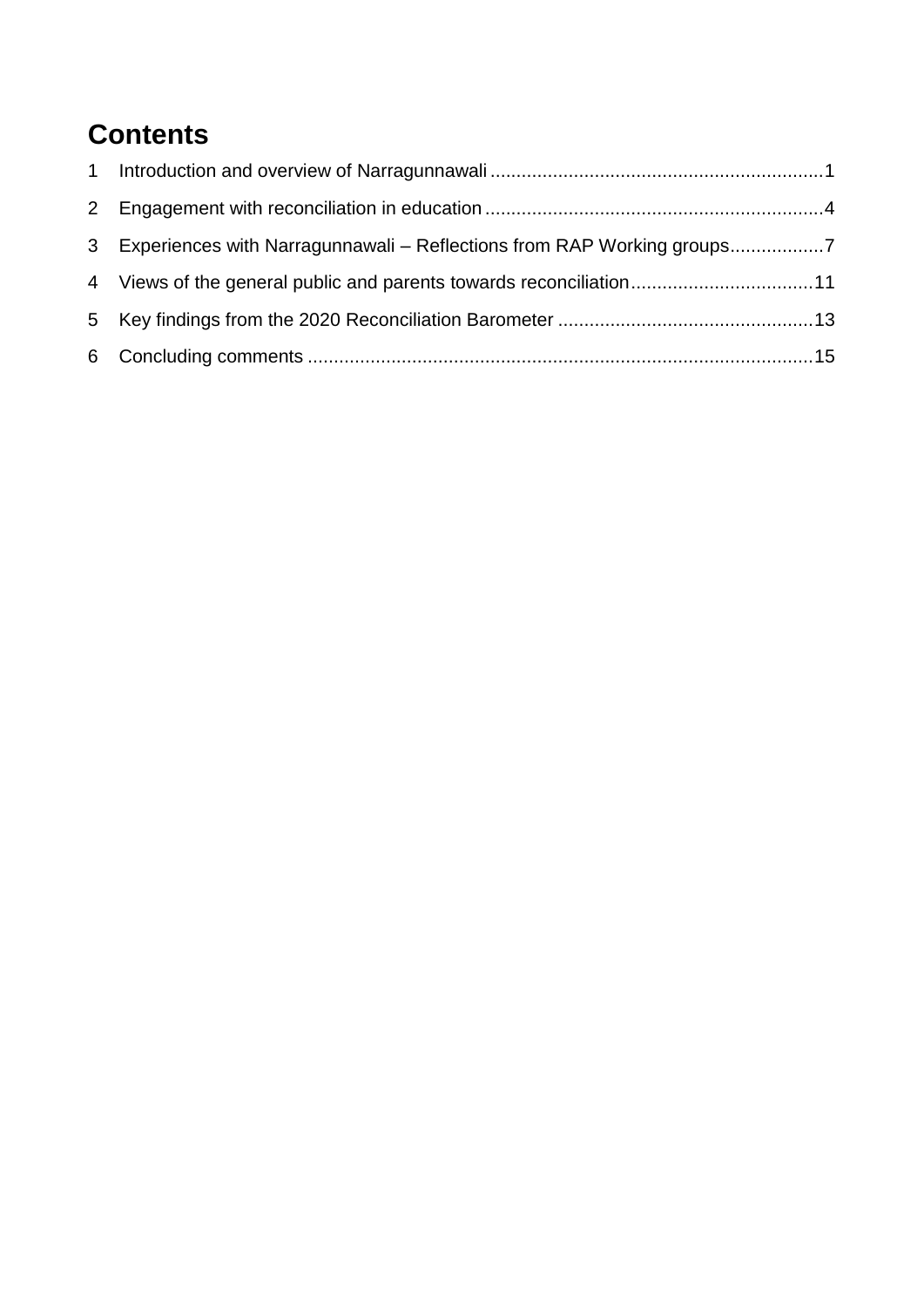### **Contents**

| 3 Experiences with Narragunnawali – Reflections from RAP Working groups7 |  |
|--------------------------------------------------------------------------|--|
|                                                                          |  |
|                                                                          |  |
|                                                                          |  |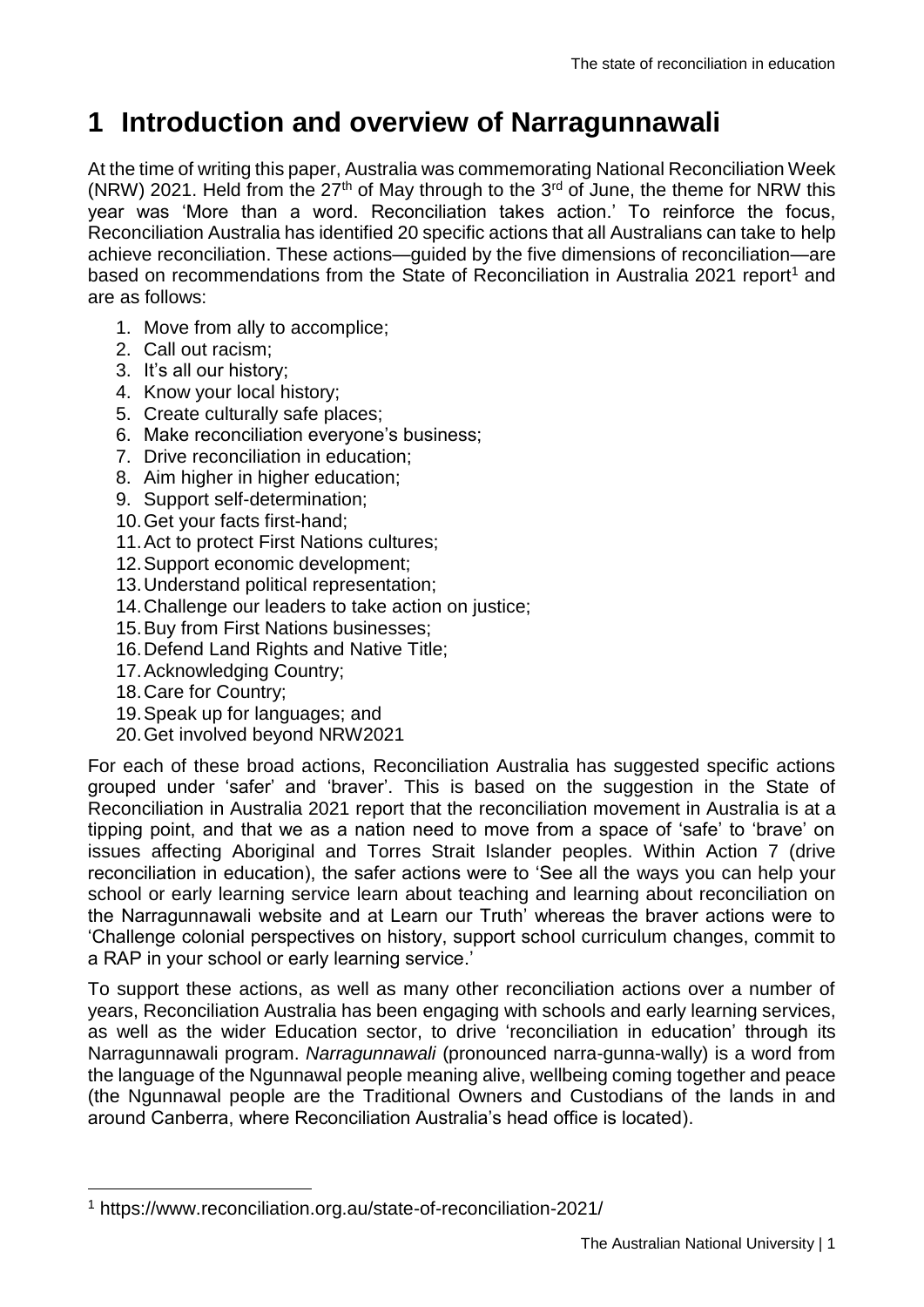### <span id="page-2-0"></span>**1 Introduction and overview of Narragunnawali**

At the time of writing this paper, Australia was commemorating National Reconciliation Week (NRW) 2021. Held from the  $27<sup>th</sup>$  of May through to the  $3<sup>rd</sup>$  of June, the theme for NRW this year was 'More than a word. Reconciliation takes action.' To reinforce the focus, Reconciliation Australia has identified 20 specific actions that all Australians can take to help achieve reconciliation. These actions—guided by the five dimensions of reconciliation—are based on recommendations from the State of Reconciliation in Australia 2021 report<sup>1</sup> and are as follows:

- 1. Move from ally to accomplice;
- 2. Call out racism;
- 3. It's all our history;
- 4. Know your local history;
- 5. Create culturally safe places;
- 6. Make reconciliation everyone's business;
- 7. Drive reconciliation in education;
- 8. Aim higher in higher education;
- 9. Support self-determination;
- 10.Get your facts first-hand;
- 11.Act to protect First Nations cultures;
- 12.Support economic development;
- 13.Understand political representation;
- 14.Challenge our leaders to take action on justice;
- 15.Buy from First Nations businesses;
- 16.Defend Land Rights and Native Title;
- 17.Acknowledging Country;
- 18.Care for Country;

<u>.</u>

- 19.Speak up for languages; and
- 20.Get involved beyond NRW2021

For each of these broad actions, Reconciliation Australia has suggested specific actions grouped under 'safer' and 'braver'. This is based on the suggestion in the State of Reconciliation in Australia 2021 report that the reconciliation movement in Australia is at a tipping point, and that we as a nation need to move from a space of 'safe' to 'brave' on issues affecting Aboriginal and Torres Strait Islander peoples. Within Action 7 (drive reconciliation in education), the safer actions were to 'See all the ways you can help your school or early learning service learn about teaching and learning about reconciliation on the Narragunnawali website and at Learn our Truth' whereas the braver actions were to 'Challenge colonial perspectives on history, support school curriculum changes, commit to a RAP in your school or early learning service.'

To support these actions, as well as many other reconciliation actions over a number of years, Reconciliation Australia has been engaging with schools and early learning services, as well as the wider Education sector, to drive 'reconciliation in education' through its Narragunnawali program. *Narragunnawali* (pronounced narra-gunna-wally) is a word from the language of the Ngunnawal people meaning alive, wellbeing coming together and peace (the Ngunnawal people are the Traditional Owners and Custodians of the lands in and around Canberra, where Reconciliation Australia's head office is located).

<sup>1</sup> https://www.reconciliation.org.au/state-of-reconciliation-2021/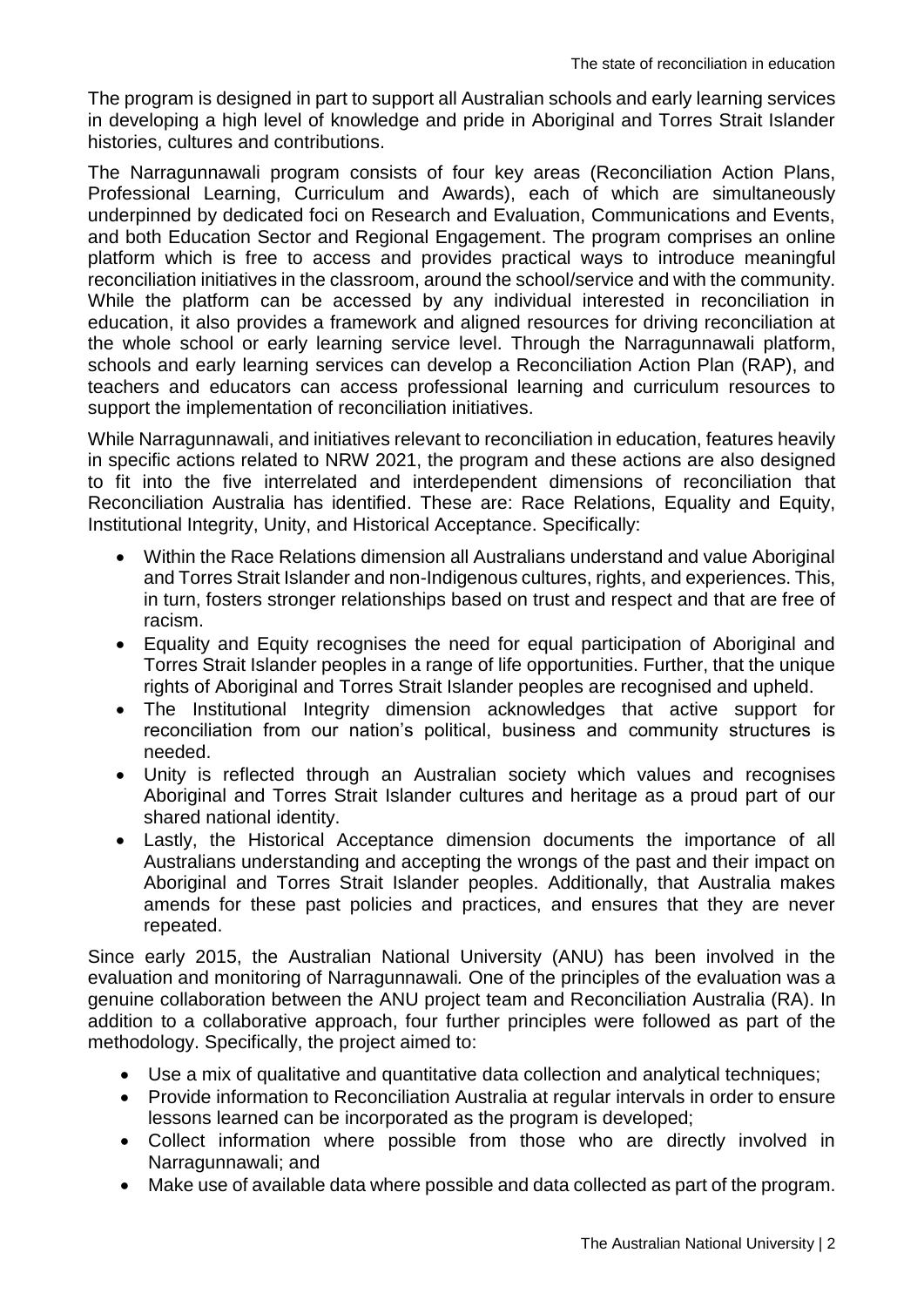The program is designed in part to support all Australian schools and early learning services in developing a high level of knowledge and pride in Aboriginal and Torres Strait Islander histories, cultures and contributions.

The Narragunnawali program consists of four key areas (Reconciliation Action Plans, Professional Learning, Curriculum and Awards), each of which are simultaneously underpinned by dedicated foci on Research and Evaluation, Communications and Events, and both Education Sector and Regional Engagement. The program comprises an online platform which is free to access and provides practical ways to introduce meaningful reconciliation initiatives in the classroom, around the school/service and with the community. While the platform can be accessed by any individual interested in reconciliation in education, it also provides a framework and aligned resources for driving reconciliation at the whole school or early learning service level. Through the Narragunnawali platform, schools and early learning services can develop a Reconciliation Action Plan (RAP), and teachers and educators can access professional learning and curriculum resources to support the implementation of reconciliation initiatives.

While Narragunnawali, and initiatives relevant to reconciliation in education, features heavily in specific actions related to NRW 2021, the program and these actions are also designed to fit into the five interrelated and interdependent dimensions of reconciliation that Reconciliation Australia has identified. These are: Race Relations, Equality and Equity, Institutional Integrity, Unity, and Historical Acceptance. Specifically:

- Within the Race Relations dimension all Australians understand and value Aboriginal and Torres Strait Islander and non-Indigenous cultures, rights, and experiences. This, in turn, fosters stronger relationships based on trust and respect and that are free of racism.
- Equality and Equity recognises the need for equal participation of Aboriginal and Torres Strait Islander peoples in a range of life opportunities. Further, that the unique rights of Aboriginal and Torres Strait Islander peoples are recognised and upheld.
- The Institutional Integrity dimension acknowledges that active support for reconciliation from our nation's political, business and community structures is needed.
- Unity is reflected through an Australian society which values and recognises Aboriginal and Torres Strait Islander cultures and heritage as a proud part of our shared national identity.
- Lastly, the Historical Acceptance dimension documents the importance of all Australians understanding and accepting the wrongs of the past and their impact on Aboriginal and Torres Strait Islander peoples. Additionally, that Australia makes amends for these past policies and practices, and ensures that they are never repeated.

Since early 2015, the Australian National University (ANU) has been involved in the evaluation and monitoring of Narragunnawali*.* One of the principles of the evaluation was a genuine collaboration between the ANU project team and Reconciliation Australia (RA). In addition to a collaborative approach, four further principles were followed as part of the methodology. Specifically, the project aimed to:

- Use a mix of qualitative and quantitative data collection and analytical techniques;
- Provide information to Reconciliation Australia at regular intervals in order to ensure lessons learned can be incorporated as the program is developed;
- Collect information where possible from those who are directly involved in Narragunnawali; and
- Make use of available data where possible and data collected as part of the program.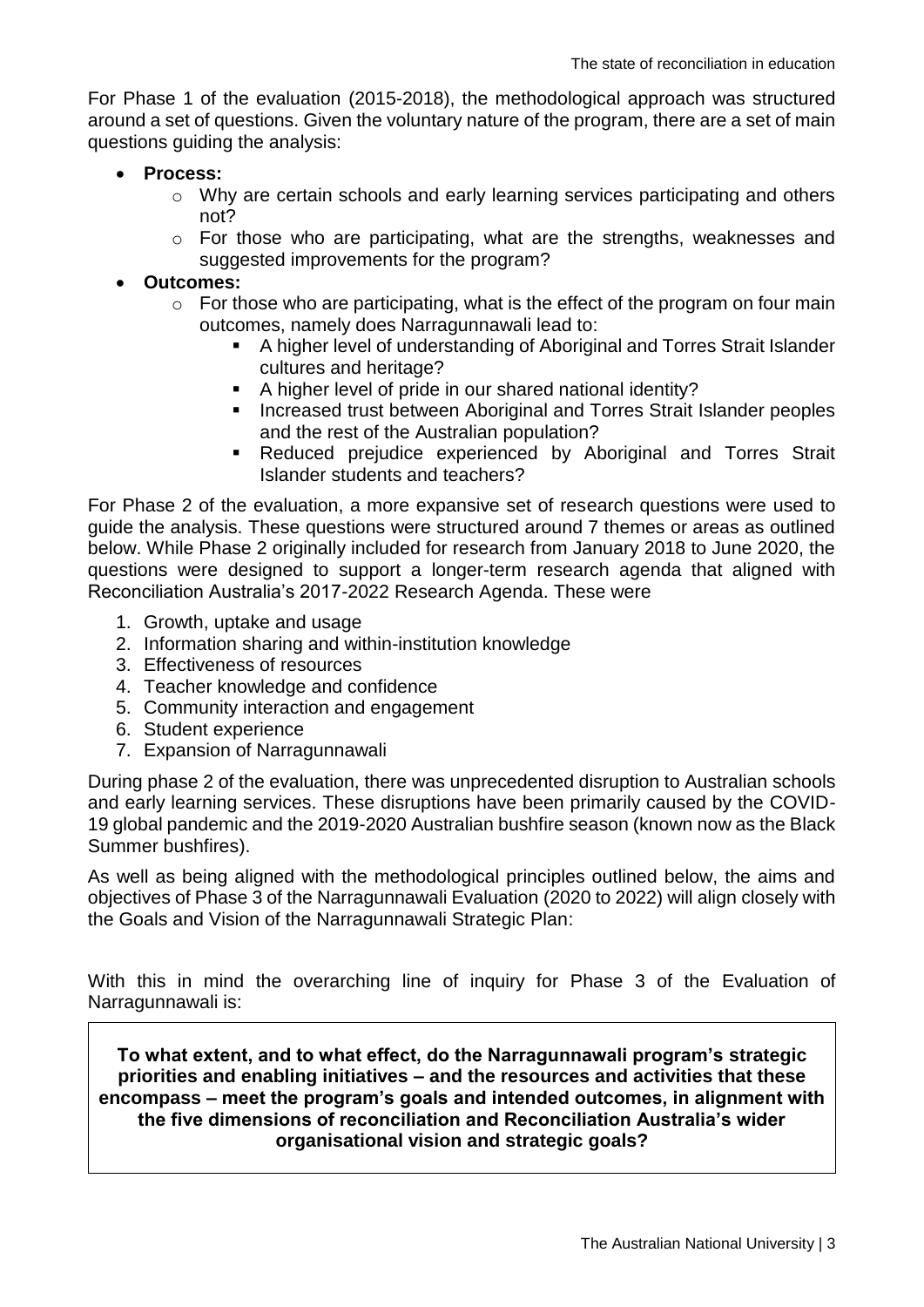For Phase 1 of the evaluation (2015-2018), the methodological approach was structured around a set of questions. Given the voluntary nature of the program, there are a set of main questions guiding the analysis:

- **Process:**
	- o Why are certain schools and early learning services participating and others not?
	- $\circ$  For those who are participating, what are the strengths, weaknesses and suggested improvements for the program?

#### **Outcomes:**

- $\circ$  For those who are participating, what is the effect of the program on four main outcomes, namely does Narragunnawali lead to:
	- A higher level of understanding of Aboriginal and Torres Strait Islander cultures and heritage?
	- A higher level of pride in our shared national identity?
	- **Increased trust between Aboriginal and Torres Strait Islander peoples** and the rest of the Australian population?
	- Reduced prejudice experienced by Aboriginal and Torres Strait Islander students and teachers?

For Phase 2 of the evaluation, a more expansive set of research questions were used to guide the analysis. These questions were structured around 7 themes or areas as outlined below. While Phase 2 originally included for research from January 2018 to June 2020, the questions were designed to support a longer-term research agenda that aligned with Reconciliation Australia's 2017-2022 Research Agenda. These were

- 1. Growth, uptake and usage
- 2. Information sharing and within-institution knowledge
- 3. Effectiveness of resources
- 4. Teacher knowledge and confidence
- 5. Community interaction and engagement
- 6. Student experience
- 7. Expansion of Narragunnawali

During phase 2 of the evaluation, there was unprecedented disruption to Australian schools and early learning services. These disruptions have been primarily caused by the COVID-19 global pandemic and the 2019-2020 Australian bushfire season (known now as the Black Summer bushfires).

As well as being aligned with the methodological principles outlined below, the aims and objectives of Phase 3 of the Narragunnawali Evaluation (2020 to 2022) will align closely with the Goals and Vision of the Narragunnawali Strategic Plan:

With this in mind the overarching line of inquiry for Phase 3 of the Evaluation of Narragunnawali is:

**To what extent, and to what effect, do the Narragunnawali program's strategic priorities and enabling initiatives – and the resources and activities that these encompass – meet the program's goals and intended outcomes, in alignment with the five dimensions of reconciliation and Reconciliation Australia's wider organisational vision and strategic goals?**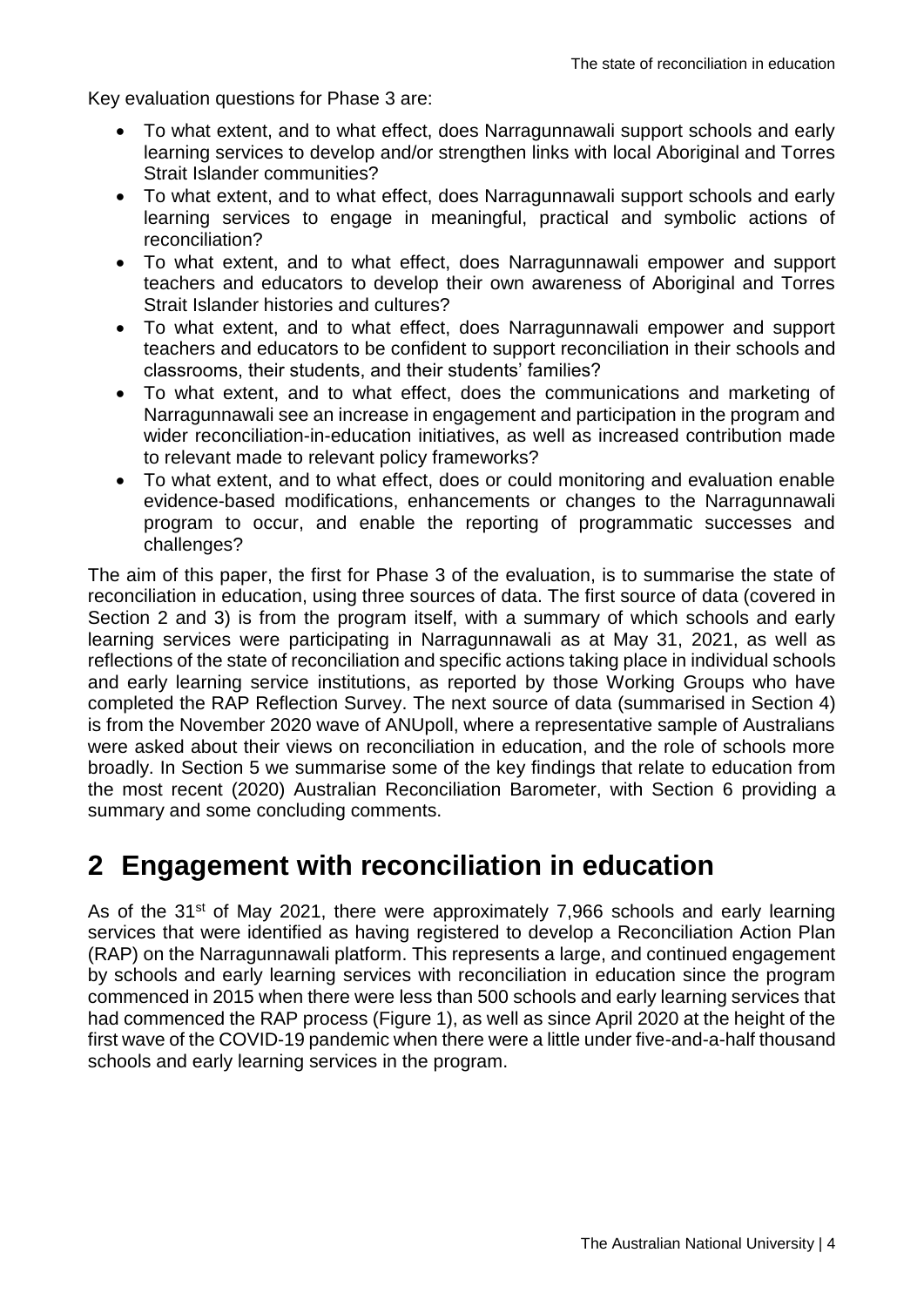Key evaluation questions for Phase 3 are:

- To what extent, and to what effect, does Narragunnawali support schools and early learning services to develop and/or strengthen links with local Aboriginal and Torres Strait Islander communities?
- To what extent, and to what effect, does Narragunnawali support schools and early learning services to engage in meaningful, practical and symbolic actions of reconciliation?
- To what extent, and to what effect, does Narragunnawali empower and support teachers and educators to develop their own awareness of Aboriginal and Torres Strait Islander histories and cultures?
- To what extent, and to what effect, does Narragunnawali empower and support teachers and educators to be confident to support reconciliation in their schools and classrooms, their students, and their students' families?
- To what extent, and to what effect, does the communications and marketing of Narragunnawali see an increase in engagement and participation in the program and wider reconciliation-in-education initiatives, as well as increased contribution made to relevant made to relevant policy frameworks?
- To what extent, and to what effect, does or could monitoring and evaluation enable evidence-based modifications, enhancements or changes to the Narragunnawali program to occur, and enable the reporting of programmatic successes and challenges?

The aim of this paper, the first for Phase 3 of the evaluation, is to summarise the state of reconciliation in education, using three sources of data. The first source of data (covered in Section 2 and 3) is from the program itself, with a summary of which schools and early learning services were participating in Narragunnawali as at May 31, 2021, as well as reflections of the state of reconciliation and specific actions taking place in individual schools and early learning service institutions, as reported by those Working Groups who have completed the RAP Reflection Survey. The next source of data (summarised in Section 4) is from the November 2020 wave of ANUpoll, where a representative sample of Australians were asked about their views on reconciliation in education, and the role of schools more broadly. In Section 5 we summarise some of the key findings that relate to education from the most recent (2020) Australian Reconciliation Barometer, with Section 6 providing a summary and some concluding comments.

### <span id="page-5-0"></span>**2 Engagement with reconciliation in education**

As of the  $31^{st}$  of May 2021, there were approximately 7,966 schools and early learning services that were identified as having registered to develop a Reconciliation Action Plan (RAP) on the Narragunnawali platform. This represents a large, and continued engagement by schools and early learning services with reconciliation in education since the program commenced in 2015 when there were less than 500 schools and early learning services that had commenced the RAP process (Figure 1), as well as since April 2020 at the height of the first wave of the COVID-19 pandemic when there were a little under five-and-a-half thousand schools and early learning services in the program.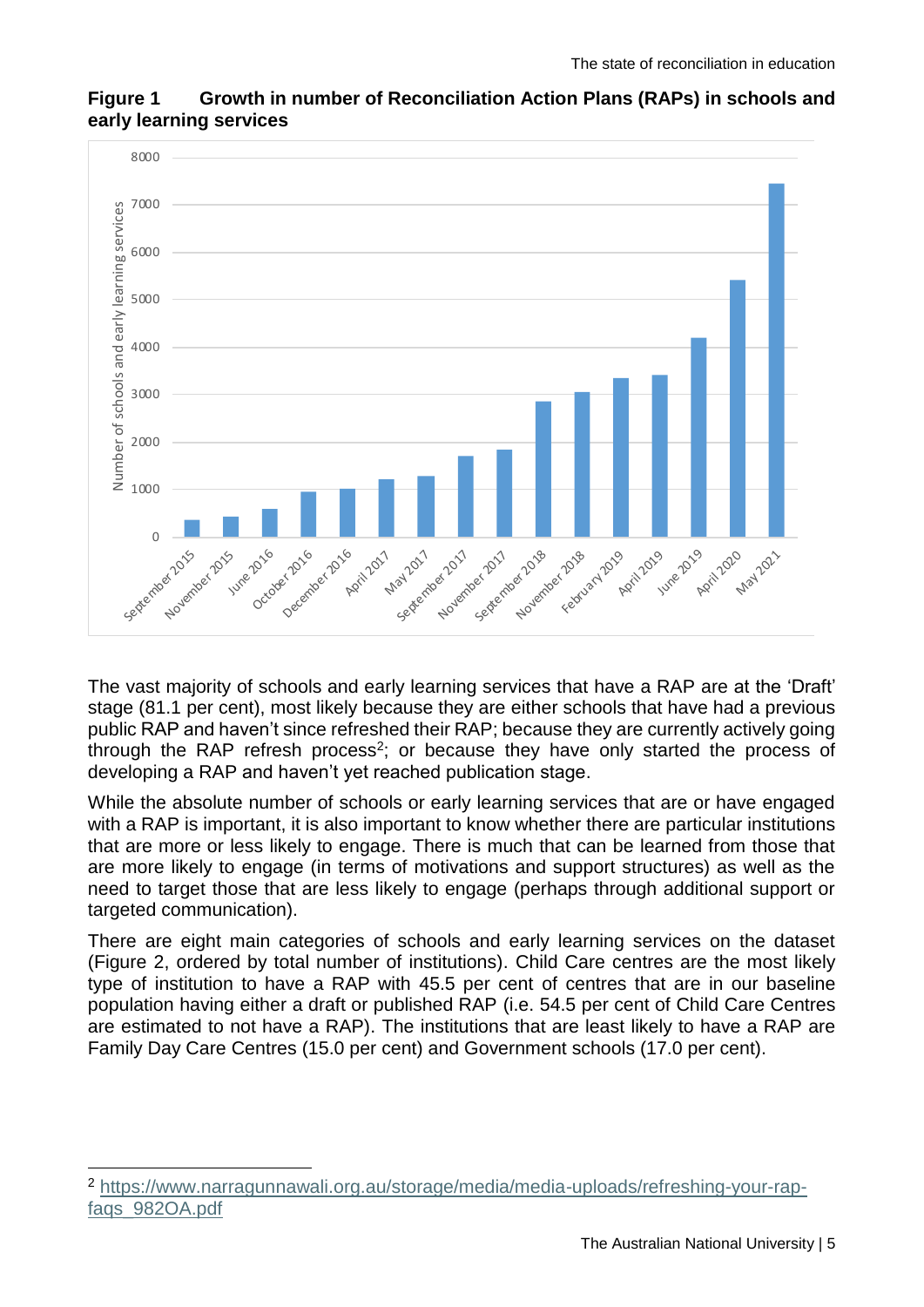

#### **Figure 1 Growth in number of Reconciliation Action Plans (RAPs) in schools and early learning services**

The vast majority of schools and early learning services that have a RAP are at the 'Draft' stage (81.1 per cent), most likely because they are either schools that have had a previous public RAP and haven't since refreshed their RAP; because they are currently actively going through the RAP refresh process<sup>2</sup>; or because they have only started the process of developing a RAP and haven't yet reached publication stage.

While the absolute number of schools or early learning services that are or have engaged with a RAP is important, it is also important to know whether there are particular institutions that are more or less likely to engage. There is much that can be learned from those that are more likely to engage (in terms of motivations and support structures) as well as the need to target those that are less likely to engage (perhaps through additional support or targeted communication).

There are eight main categories of schools and early learning services on the dataset (Figure 2, ordered by total number of institutions). Child Care centres are the most likely type of institution to have a RAP with 45.5 per cent of centres that are in our baseline population having either a draft or published RAP (i.e. 54.5 per cent of Child Care Centres are estimated to not have a RAP). The institutions that are least likely to have a RAP are Family Day Care Centres (15.0 per cent) and Government schools (17.0 per cent).

<sup>1</sup> <sup>2</sup> [https://www.narragunnawali.org.au/storage/media/media-uploads/refreshing-your-rap](https://www.narragunnawali.org.au/storage/media/media-uploads/refreshing-your-rap-faqs_982OA.pdf)[faqs\\_982OA.pdf](https://www.narragunnawali.org.au/storage/media/media-uploads/refreshing-your-rap-faqs_982OA.pdf)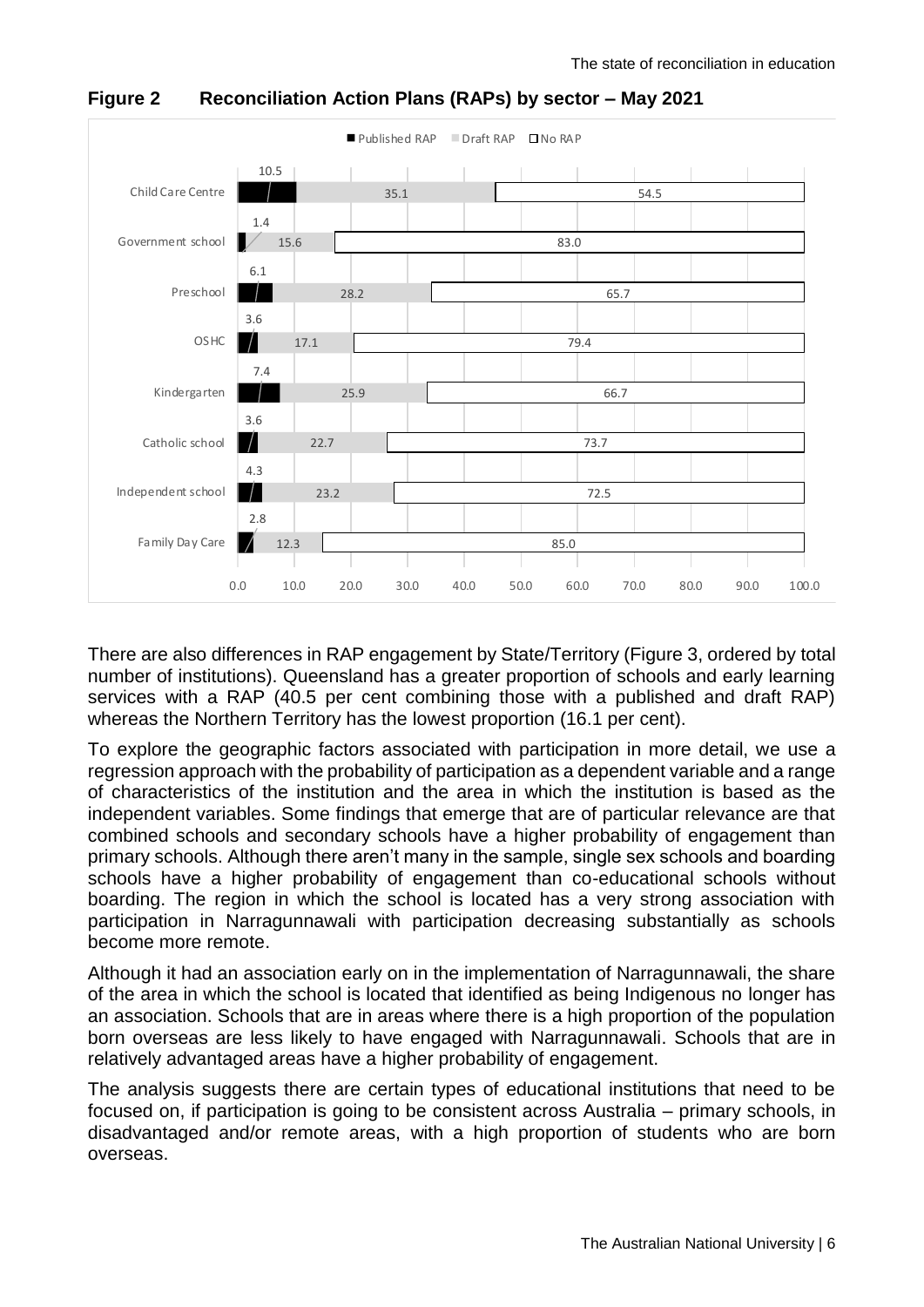

**Figure 2 Reconciliation Action Plans (RAPs) by sector – May 2021**

There are also differences in RAP engagement by State/Territory (Figure 3, ordered by total number of institutions). Queensland has a greater proportion of schools and early learning services with a RAP (40.5 per cent combining those with a published and draft RAP) whereas the Northern Territory has the lowest proportion (16.1 per cent).

To explore the geographic factors associated with participation in more detail, we use a regression approach with the probability of participation as a dependent variable and a range of characteristics of the institution and the area in which the institution is based as the independent variables. Some findings that emerge that are of particular relevance are that combined schools and secondary schools have a higher probability of engagement than primary schools. Although there aren't many in the sample, single sex schools and boarding schools have a higher probability of engagement than co-educational schools without boarding. The region in which the school is located has a very strong association with participation in Narragunnawali with participation decreasing substantially as schools become more remote.

Although it had an association early on in the implementation of Narragunnawali, the share of the area in which the school is located that identified as being Indigenous no longer has an association. Schools that are in areas where there is a high proportion of the population born overseas are less likely to have engaged with Narragunnawali. Schools that are in relatively advantaged areas have a higher probability of engagement.

The analysis suggests there are certain types of educational institutions that need to be focused on, if participation is going to be consistent across Australia – primary schools, in disadvantaged and/or remote areas, with a high proportion of students who are born overseas.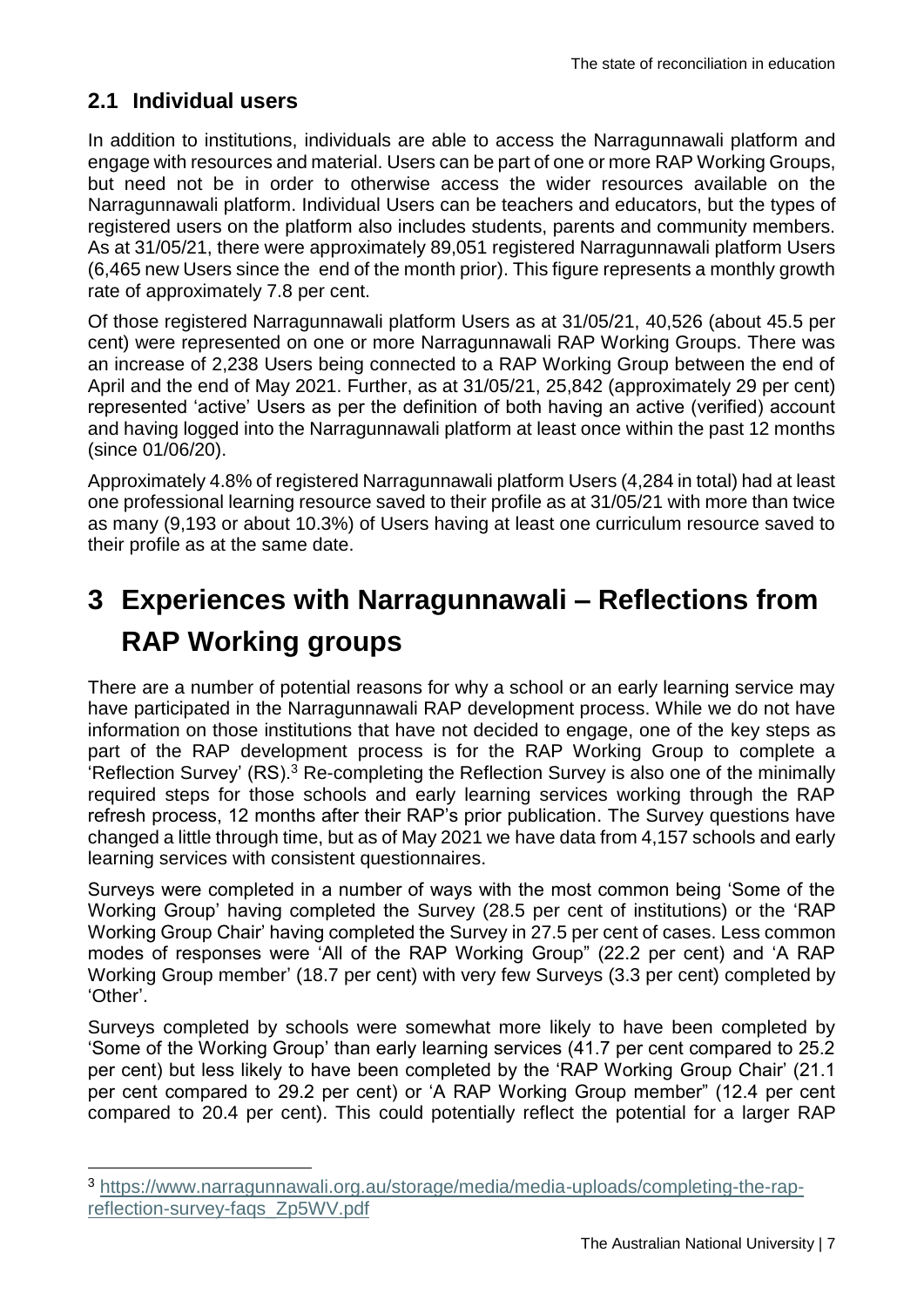#### **2.1 Individual users**

1

In addition to institutions, individuals are able to access the Narragunnawali platform and engage with resources and material. Users can be part of one or more RAP Working Groups, but need not be in order to otherwise access the wider resources available on the Narragunnawali platform. Individual Users can be teachers and educators, but the types of registered users on the platform also includes students, parents and community members. As at 31/05/21, there were approximately 89,051 registered Narragunnawali platform Users (6,465 new Users since the end of the month prior). This figure represents a monthly growth rate of approximately 7.8 per cent.

Of those registered Narragunnawali platform Users as at 31/05/21, 40,526 (about 45.5 per cent) were represented on one or more Narragunnawali RAP Working Groups. There was an increase of 2,238 Users being connected to a RAP Working Group between the end of April and the end of May 2021. Further, as at 31/05/21, 25,842 (approximately 29 per cent) represented 'active' Users as per the definition of both having an active (verified) account and having logged into the Narragunnawali platform at least once within the past 12 months (since 01/06/20).

Approximately 4.8% of registered Narragunnawali platform Users (4,284 in total) had at least one professional learning resource saved to their profile as at 31/05/21 with more than twice as many (9,193 or about 10.3%) of Users having at least one curriculum resource saved to their profile as at the same date.

# <span id="page-8-0"></span>**3 Experiences with Narragunnawali – Reflections from RAP Working groups**

There are a number of potential reasons for why a school or an early learning service may have participated in the Narragunnawali RAP development process. While we do not have information on those institutions that have not decided to engage, one of the key steps as part of the RAP development process is for the RAP Working Group to complete a 'Reflection Survey' (RS).<sup>3</sup> Re-completing the Reflection Survey is also one of the minimally required steps for those schools and early learning services working through the RAP refresh process, 12 months after their RAP's prior publication. The Survey questions have changed a little through time, but as of May 2021 we have data from 4,157 schools and early learning services with consistent questionnaires.

Surveys were completed in a number of ways with the most common being 'Some of the Working Group' having completed the Survey (28.5 per cent of institutions) or the 'RAP Working Group Chair' having completed the Survey in 27.5 per cent of cases. Less common modes of responses were 'All of the RAP Working Group" (22.2 per cent) and 'A RAP Working Group member' (18.7 per cent) with very few Surveys (3.3 per cent) completed by 'Other'.

Surveys completed by schools were somewhat more likely to have been completed by 'Some of the Working Group' than early learning services (41.7 per cent compared to 25.2 per cent) but less likely to have been completed by the 'RAP Working Group Chair' (21.1 per cent compared to 29.2 per cent) or 'A RAP Working Group member" (12.4 per cent compared to 20.4 per cent). This could potentially reflect the potential for a larger RAP

<sup>3</sup> [https://www.narragunnawali.org.au/storage/media/media-uploads/completing-the-rap](https://www.narragunnawali.org.au/storage/media/media-uploads/completing-the-rap-reflection-survey-faqs_Zp5WV.pdf)[reflection-survey-faqs\\_Zp5WV.pdf](https://www.narragunnawali.org.au/storage/media/media-uploads/completing-the-rap-reflection-survey-faqs_Zp5WV.pdf)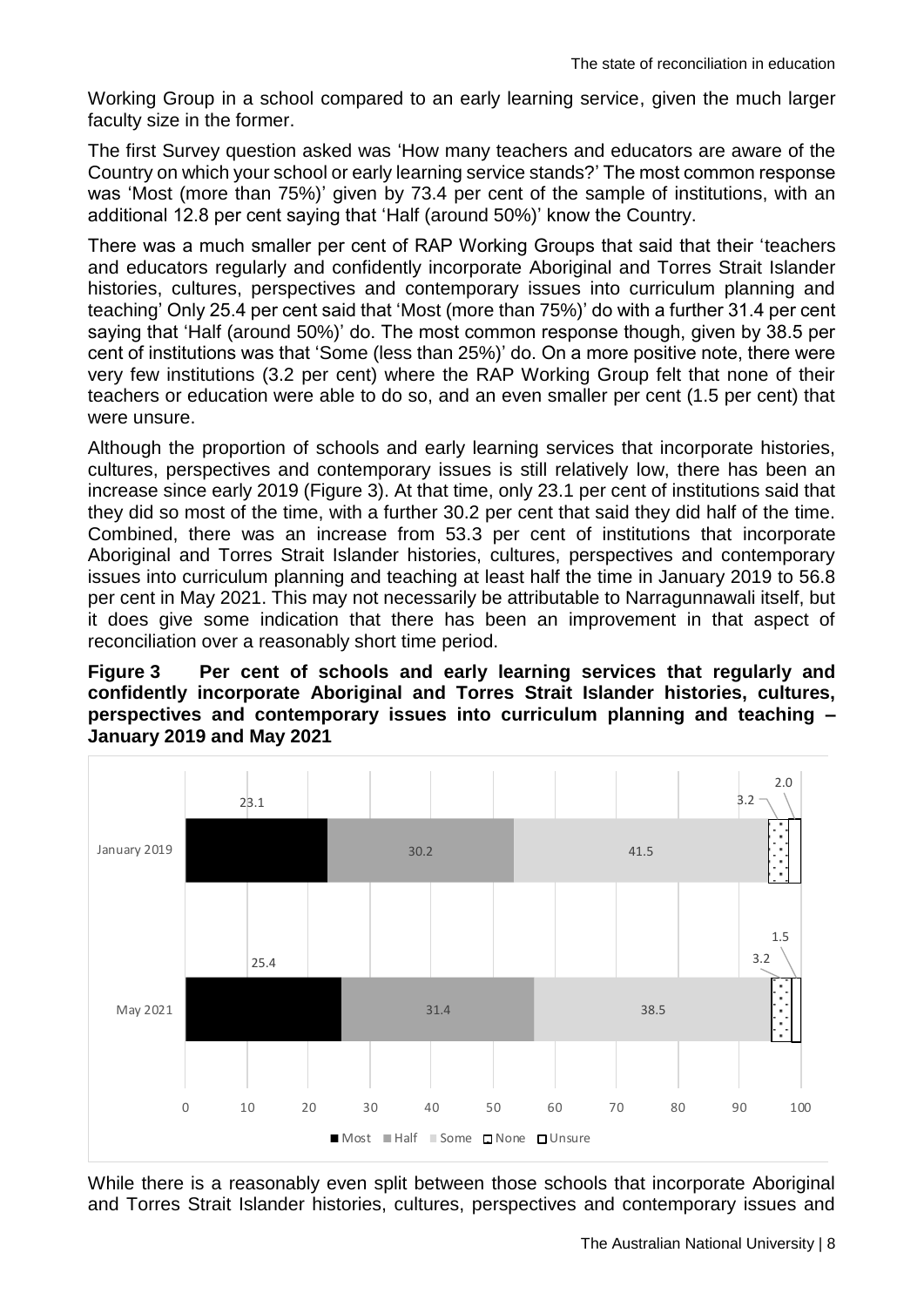Working Group in a school compared to an early learning service, given the much larger faculty size in the former.

The first Survey question asked was 'How many teachers and educators are aware of the Country on which your school or early learning service stands?' The most common response was 'Most (more than 75%)' given by 73.4 per cent of the sample of institutions, with an additional 12.8 per cent saying that 'Half (around 50%)' know the Country.

There was a much smaller per cent of RAP Working Groups that said that their 'teachers and educators regularly and confidently incorporate Aboriginal and Torres Strait Islander histories, cultures, perspectives and contemporary issues into curriculum planning and teaching' Only 25.4 per cent said that 'Most (more than 75%)' do with a further 31.4 per cent saying that 'Half (around 50%)' do. The most common response though, given by 38.5 per cent of institutions was that 'Some (less than 25%)' do. On a more positive note, there were very few institutions (3.2 per cent) where the RAP Working Group felt that none of their teachers or education were able to do so, and an even smaller per cent (1.5 per cent) that were unsure.

Although the proportion of schools and early learning services that incorporate histories, cultures, perspectives and contemporary issues is still relatively low, there has been an increase since early 2019 (Figure 3). At that time, only 23.1 per cent of institutions said that they did so most of the time, with a further 30.2 per cent that said they did half of the time. Combined, there was an increase from 53.3 per cent of institutions that incorporate Aboriginal and Torres Strait Islander histories, cultures, perspectives and contemporary issues into curriculum planning and teaching at least half the time in January 2019 to 56.8 per cent in May 2021. This may not necessarily be attributable to Narragunnawali itself, but it does give some indication that there has been an improvement in that aspect of reconciliation over a reasonably short time period.

#### **Figure 3 Per cent of schools and early learning services that regularly and confidently incorporate Aboriginal and Torres Strait Islander histories, cultures, perspectives and contemporary issues into curriculum planning and teaching – January 2019 and May 2021**



While there is a reasonably even split between those schools that incorporate Aboriginal and Torres Strait Islander histories, cultures, perspectives and contemporary issues and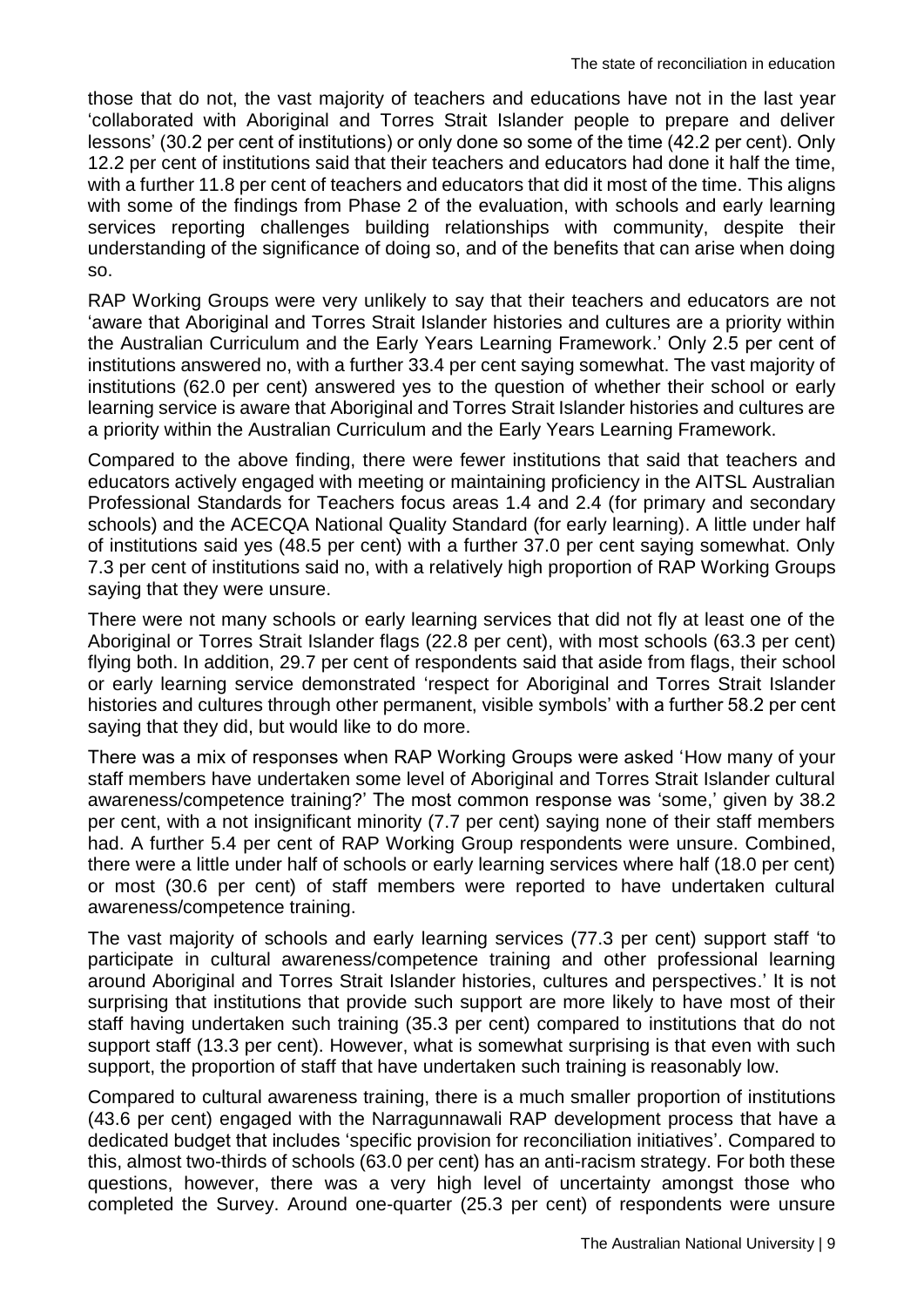those that do not, the vast majority of teachers and educations have not in the last year 'collaborated with Aboriginal and Torres Strait Islander people to prepare and deliver lessons' (30.2 per cent of institutions) or only done so some of the time (42.2 per cent). Only 12.2 per cent of institutions said that their teachers and educators had done it half the time, with a further 11.8 per cent of teachers and educators that did it most of the time. This aligns with some of the findings from Phase 2 of the evaluation, with schools and early learning services reporting challenges building relationships with community, despite their understanding of the significance of doing so, and of the benefits that can arise when doing so.

RAP Working Groups were very unlikely to say that their teachers and educators are not 'aware that Aboriginal and Torres Strait Islander histories and cultures are a priority within the Australian Curriculum and the Early Years Learning Framework.' Only 2.5 per cent of institutions answered no, with a further 33.4 per cent saying somewhat. The vast majority of institutions (62.0 per cent) answered yes to the question of whether their school or early learning service is aware that Aboriginal and Torres Strait Islander histories and cultures are a priority within the Australian Curriculum and the Early Years Learning Framework.

Compared to the above finding, there were fewer institutions that said that teachers and educators actively engaged with meeting or maintaining proficiency in the AITSL Australian Professional Standards for Teachers focus areas 1.4 and 2.4 (for primary and secondary schools) and the ACECQA National Quality Standard (for early learning). A little under half of institutions said yes (48.5 per cent) with a further 37.0 per cent saying somewhat. Only 7.3 per cent of institutions said no, with a relatively high proportion of RAP Working Groups saying that they were unsure.

There were not many schools or early learning services that did not fly at least one of the Aboriginal or Torres Strait Islander flags (22.8 per cent), with most schools (63.3 per cent) flying both. In addition, 29.7 per cent of respondents said that aside from flags, their school or early learning service demonstrated 'respect for Aboriginal and Torres Strait Islander histories and cultures through other permanent, visible symbols' with a further 58.2 per cent saying that they did, but would like to do more.

There was a mix of responses when RAP Working Groups were asked 'How many of your staff members have undertaken some level of Aboriginal and Torres Strait Islander cultural awareness/competence training?' The most common response was 'some,' given by 38.2 per cent, with a not insignificant minority (7.7 per cent) saying none of their staff members had. A further 5.4 per cent of RAP Working Group respondents were unsure. Combined, there were a little under half of schools or early learning services where half (18.0 per cent) or most (30.6 per cent) of staff members were reported to have undertaken cultural awareness/competence training.

The vast majority of schools and early learning services (77.3 per cent) support staff 'to participate in cultural awareness/competence training and other professional learning around Aboriginal and Torres Strait Islander histories, cultures and perspectives.' It is not surprising that institutions that provide such support are more likely to have most of their staff having undertaken such training (35.3 per cent) compared to institutions that do not support staff (13.3 per cent). However, what is somewhat surprising is that even with such support, the proportion of staff that have undertaken such training is reasonably low.

Compared to cultural awareness training, there is a much smaller proportion of institutions (43.6 per cent) engaged with the Narragunnawali RAP development process that have a dedicated budget that includes 'specific provision for reconciliation initiatives'. Compared to this, almost two-thirds of schools (63.0 per cent) has an anti-racism strategy. For both these questions, however, there was a very high level of uncertainty amongst those who completed the Survey. Around one-quarter (25.3 per cent) of respondents were unsure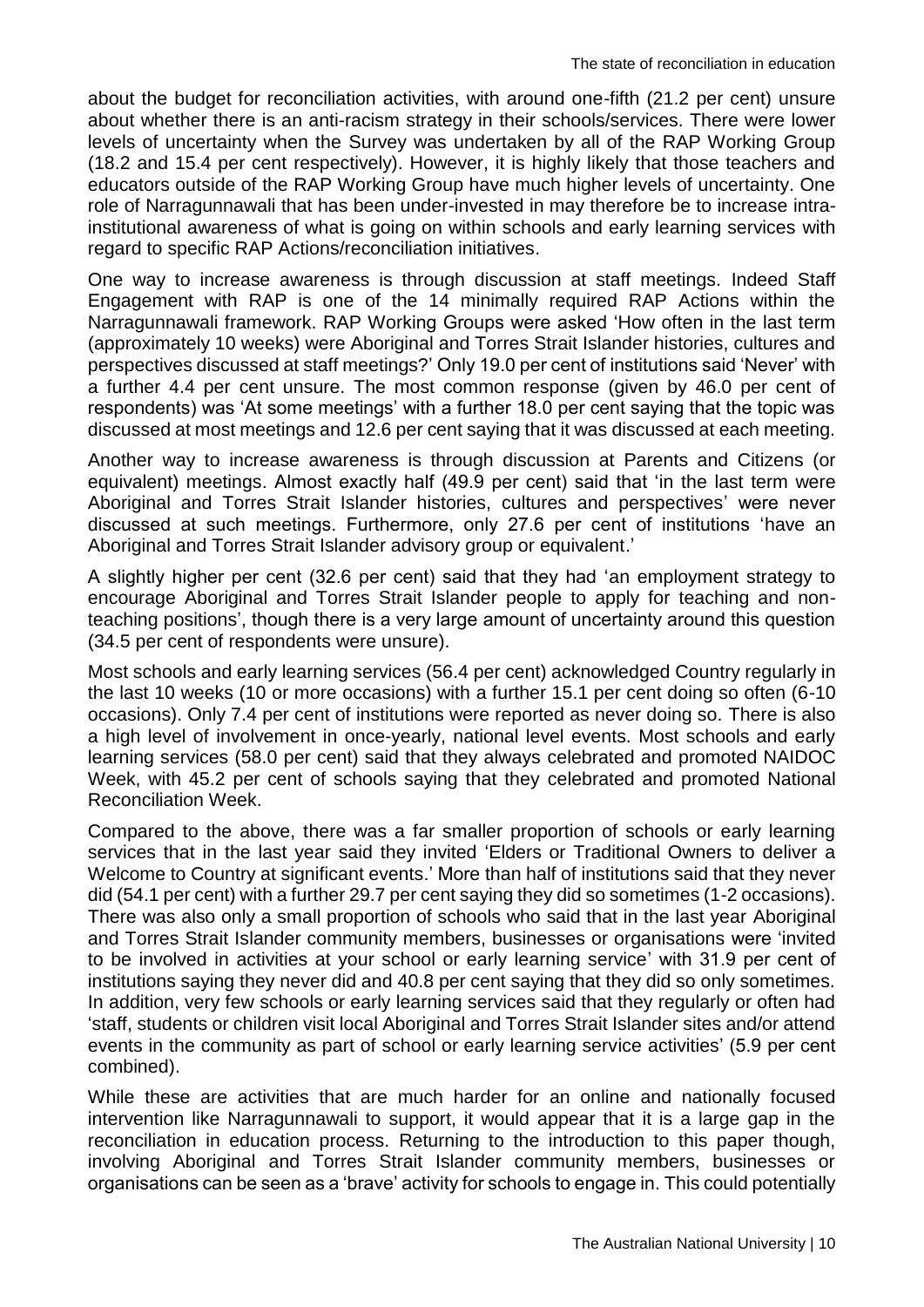about the budget for reconciliation activities, with around one-fifth (21.2 per cent) unsure about whether there is an anti-racism strategy in their schools/services. There were lower levels of uncertainty when the Survey was undertaken by all of the RAP Working Group (18.2 and 15.4 per cent respectively). However, it is highly likely that those teachers and educators outside of the RAP Working Group have much higher levels of uncertainty. One role of Narragunnawali that has been under-invested in may therefore be to increase intrainstitutional awareness of what is going on within schools and early learning services with regard to specific RAP Actions/reconciliation initiatives.

One way to increase awareness is through discussion at staff meetings. Indeed Staff Engagement with RAP is one of the 14 minimally required RAP Actions within the Narragunnawali framework. RAP Working Groups were asked 'How often in the last term (approximately 10 weeks) were Aboriginal and Torres Strait Islander histories, cultures and perspectives discussed at staff meetings?' Only 19.0 per cent of institutions said 'Never' with a further 4.4 per cent unsure. The most common response (given by 46.0 per cent of respondents) was 'At some meetings' with a further 18.0 per cent saying that the topic was discussed at most meetings and 12.6 per cent saying that it was discussed at each meeting.

Another way to increase awareness is through discussion at Parents and Citizens (or equivalent) meetings. Almost exactly half (49.9 per cent) said that 'in the last term were Aboriginal and Torres Strait Islander histories, cultures and perspectives' were never discussed at such meetings. Furthermore, only 27.6 per cent of institutions 'have an Aboriginal and Torres Strait Islander advisory group or equivalent.'

A slightly higher per cent (32.6 per cent) said that they had 'an employment strategy to encourage Aboriginal and Torres Strait Islander people to apply for teaching and nonteaching positions', though there is a very large amount of uncertainty around this question (34.5 per cent of respondents were unsure).

Most schools and early learning services (56.4 per cent) acknowledged Country regularly in the last 10 weeks (10 or more occasions) with a further 15.1 per cent doing so often (6-10 occasions). Only 7.4 per cent of institutions were reported as never doing so. There is also a high level of involvement in once-yearly, national level events. Most schools and early learning services (58.0 per cent) said that they always celebrated and promoted NAIDOC Week, with 45.2 per cent of schools saying that they celebrated and promoted National Reconciliation Week.

Compared to the above, there was a far smaller proportion of schools or early learning services that in the last year said they invited 'Elders or Traditional Owners to deliver a Welcome to Country at significant events.' More than half of institutions said that they never did (54.1 per cent) with a further 29.7 per cent saying they did so sometimes (1-2 occasions). There was also only a small proportion of schools who said that in the last year Aboriginal and Torres Strait Islander community members, businesses or organisations were 'invited to be involved in activities at your school or early learning service' with 31.9 per cent of institutions saying they never did and 40.8 per cent saying that they did so only sometimes. In addition, very few schools or early learning services said that they regularly or often had 'staff, students or children visit local Aboriginal and Torres Strait Islander sites and/or attend events in the community as part of school or early learning service activities' (5.9 per cent combined).

While these are activities that are much harder for an online and nationally focused intervention like Narragunnawali to support, it would appear that it is a large gap in the reconciliation in education process. Returning to the introduction to this paper though, involving Aboriginal and Torres Strait Islander community members, businesses or organisations can be seen as a 'brave' activity for schools to engage in. This could potentially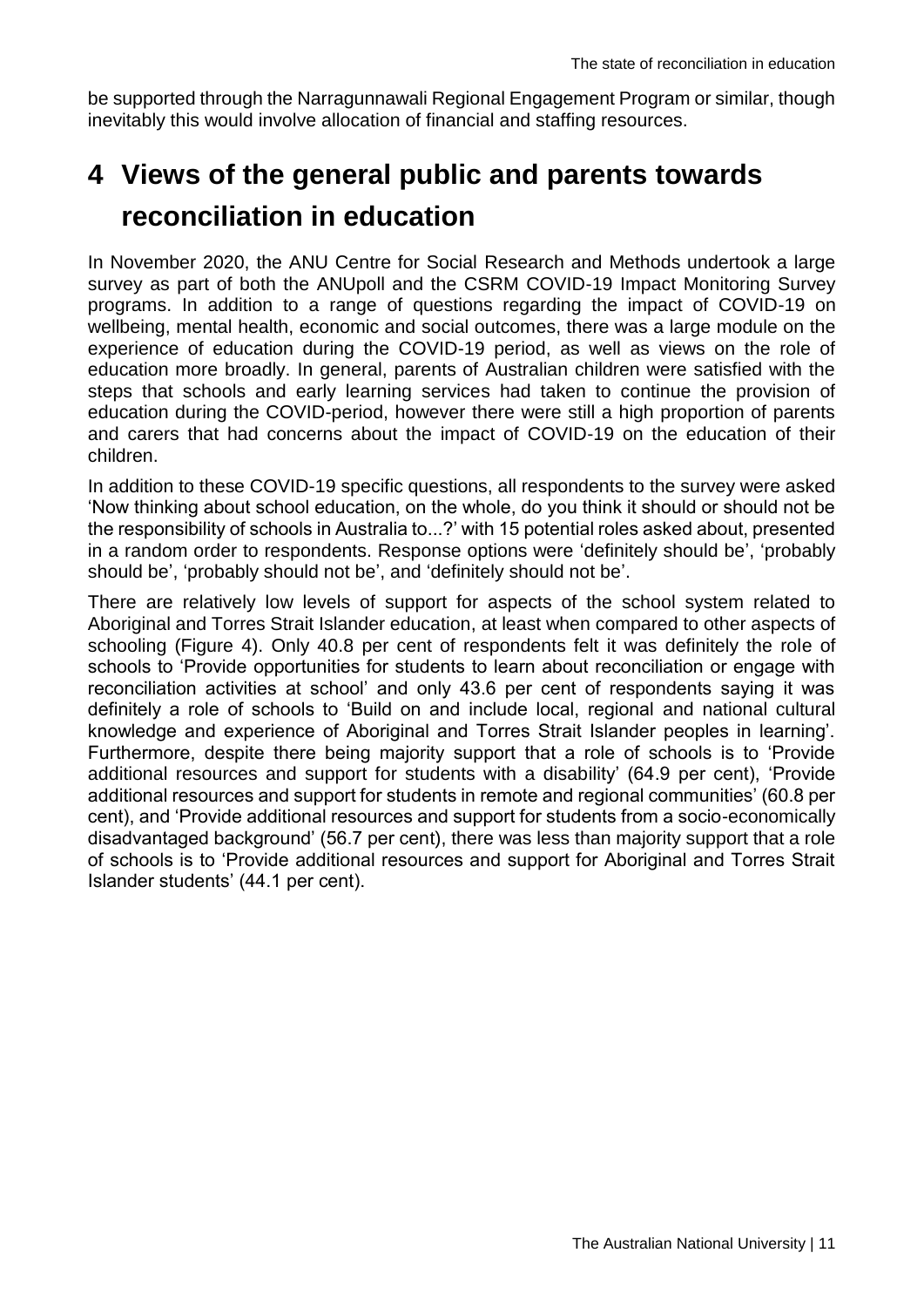be supported through the Narragunnawali Regional Engagement Program or similar, though inevitably this would involve allocation of financial and staffing resources.

# <span id="page-12-0"></span>**4 Views of the general public and parents towards reconciliation in education**

In November 2020, the ANU Centre for Social Research and Methods undertook a large survey as part of both the ANUpoll and the CSRM COVID-19 Impact Monitoring Survey programs. In addition to a range of questions regarding the impact of COVID-19 on wellbeing, mental health, economic and social outcomes, there was a large module on the experience of education during the COVID-19 period, as well as views on the role of education more broadly. In general, parents of Australian children were satisfied with the steps that schools and early learning services had taken to continue the provision of education during the COVID-period, however there were still a high proportion of parents and carers that had concerns about the impact of COVID-19 on the education of their children.

In addition to these COVID-19 specific questions, all respondents to the survey were asked 'Now thinking about school education, on the whole, do you think it should or should not be the responsibility of schools in Australia to...?' with 15 potential roles asked about, presented in a random order to respondents. Response options were 'definitely should be', 'probably should be', 'probably should not be', and 'definitely should not be'.

There are relatively low levels of support for aspects of the school system related to Aboriginal and Torres Strait Islander education, at least when compared to other aspects of schooling (Figure 4). Only 40.8 per cent of respondents felt it was definitely the role of schools to 'Provide opportunities for students to learn about reconciliation or engage with reconciliation activities at school' and only 43.6 per cent of respondents saying it was definitely a role of schools to 'Build on and include local, regional and national cultural knowledge and experience of Aboriginal and Torres Strait Islander peoples in learning'. Furthermore, despite there being majority support that a role of schools is to 'Provide additional resources and support for students with a disability' (64.9 per cent), 'Provide additional resources and support for students in remote and regional communities' (60.8 per cent), and 'Provide additional resources and support for students from a socio-economically disadvantaged background' (56.7 per cent), there was less than majority support that a role of schools is to 'Provide additional resources and support for Aboriginal and Torres Strait Islander students' (44.1 per cent).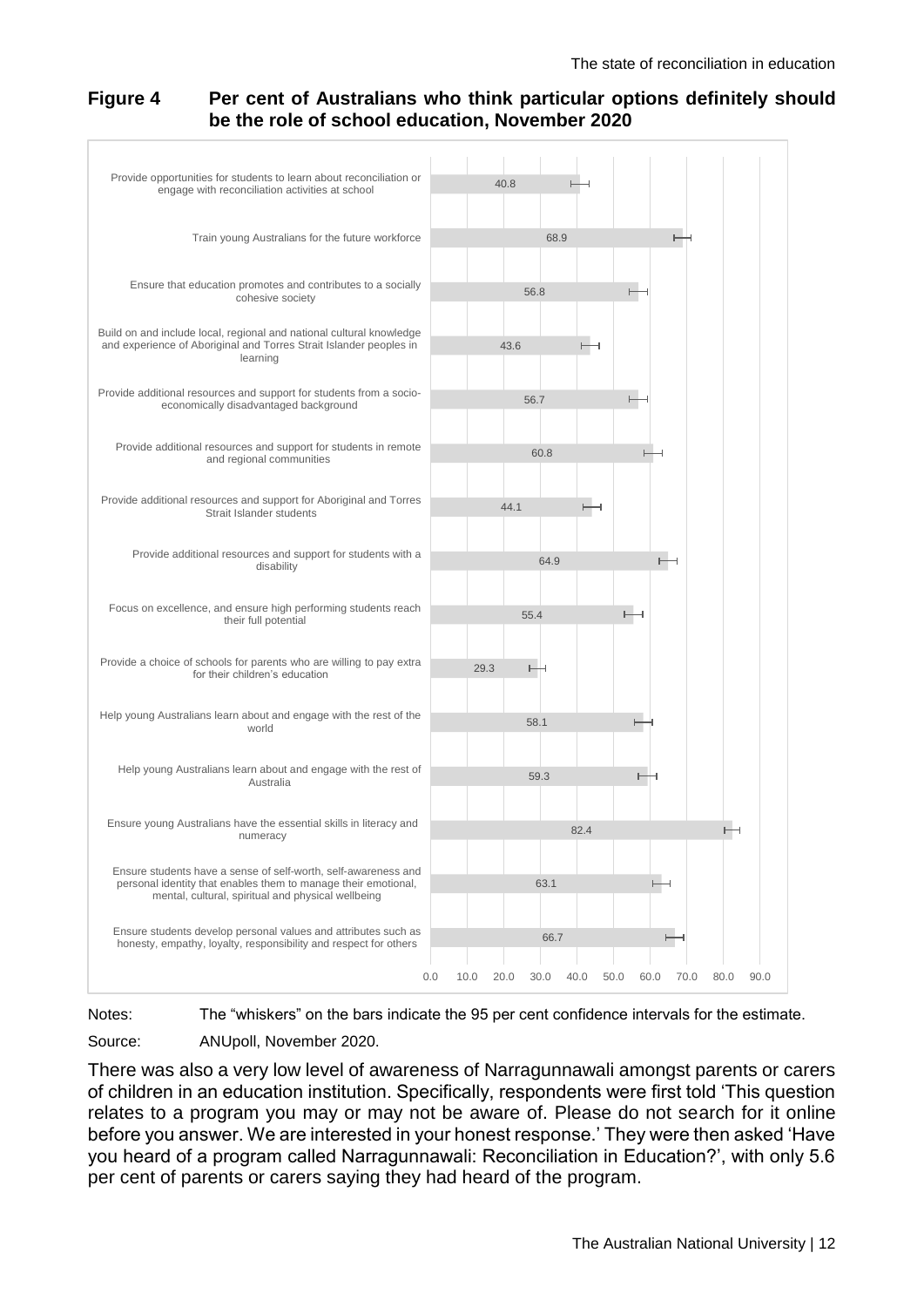#### **Figure 4 Per cent of Australians who think particular options definitely should be the role of school education, November 2020**



Notes: The "whiskers" on the bars indicate the 95 per cent confidence intervals for the estimate.

Source: ANUpoll, November 2020.

There was also a very low level of awareness of Narragunnawali amongst parents or carers of children in an education institution. Specifically, respondents were first told 'This question relates to a program you may or may not be aware of. Please do not search for it online before you answer. We are interested in your honest response.' They were then asked 'Have you heard of a program called Narragunnawali: Reconciliation in Education?', with only 5.6 per cent of parents or carers saying they had heard of the program.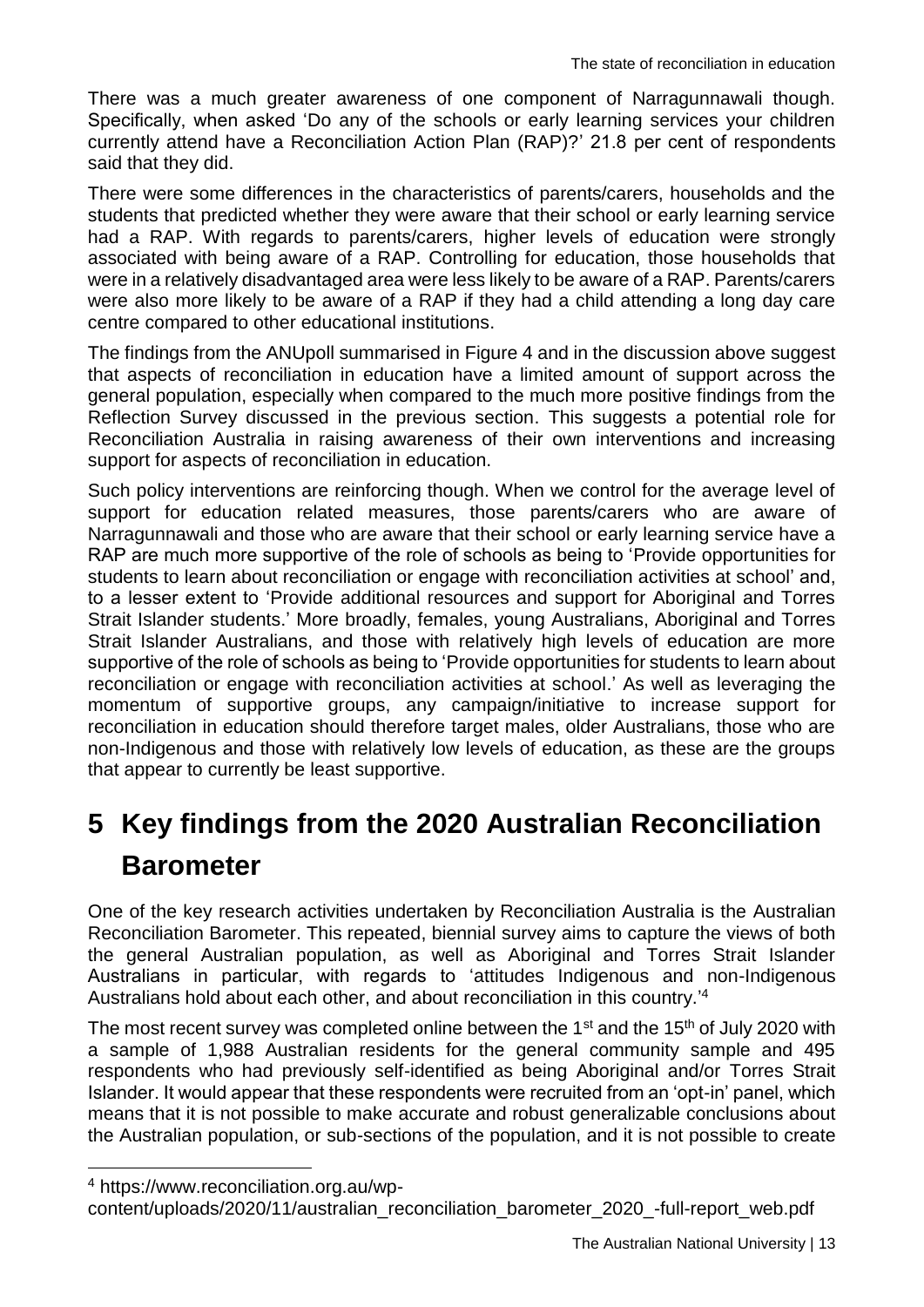There was a much greater awareness of one component of Narragunnawali though. Specifically, when asked 'Do any of the schools or early learning services your children currently attend have a Reconciliation Action Plan (RAP)?' 21.8 per cent of respondents said that they did.

There were some differences in the characteristics of parents/carers, households and the students that predicted whether they were aware that their school or early learning service had a RAP. With regards to parents/carers, higher levels of education were strongly associated with being aware of a RAP. Controlling for education, those households that were in a relatively disadvantaged area were less likely to be aware of a RAP. Parents/carers were also more likely to be aware of a RAP if they had a child attending a long day care centre compared to other educational institutions.

The findings from the ANUpoll summarised in Figure 4 and in the discussion above suggest that aspects of reconciliation in education have a limited amount of support across the general population, especially when compared to the much more positive findings from the Reflection Survey discussed in the previous section. This suggests a potential role for Reconciliation Australia in raising awareness of their own interventions and increasing support for aspects of reconciliation in education.

Such policy interventions are reinforcing though. When we control for the average level of support for education related measures, those parents/carers who are aware of Narragunnawali and those who are aware that their school or early learning service have a RAP are much more supportive of the role of schools as being to 'Provide opportunities for students to learn about reconciliation or engage with reconciliation activities at school' and, to a lesser extent to 'Provide additional resources and support for Aboriginal and Torres Strait Islander students.' More broadly, females, young Australians, Aboriginal and Torres Strait Islander Australians, and those with relatively high levels of education are more supportive of the role of schools as being to 'Provide opportunities for students to learn about reconciliation or engage with reconciliation activities at school.' As well as leveraging the momentum of supportive groups, any campaign/initiative to increase support for reconciliation in education should therefore target males, older Australians, those who are non-Indigenous and those with relatively low levels of education, as these are the groups that appear to currently be least supportive.

## <span id="page-14-0"></span>**5 Key findings from the 2020 Australian Reconciliation Barometer**

One of the key research activities undertaken by Reconciliation Australia is the Australian Reconciliation Barometer. This repeated, biennial survey aims to capture the views of both the general Australian population, as well as Aboriginal and Torres Strait Islander Australians in particular, with regards to 'attitudes Indigenous and non-Indigenous Australians hold about each other, and about reconciliation in this country.<sup>14</sup>

The most recent survey was completed online between the 1<sup>st</sup> and the 15<sup>th</sup> of July 2020 with a sample of 1,988 Australian residents for the general community sample and 495 respondents who had previously self-identified as being Aboriginal and/or Torres Strait Islander. It would appear that these respondents were recruited from an 'opt-in' panel, which means that it is not possible to make accurate and robust generalizable conclusions about the Australian population, or sub-sections of the population, and it is not possible to create

1

<sup>4</sup> https://www.reconciliation.org.au/wp-

content/uploads/2020/11/australian\_reconciliation\_barometer\_2020\_-full-report\_web.pdf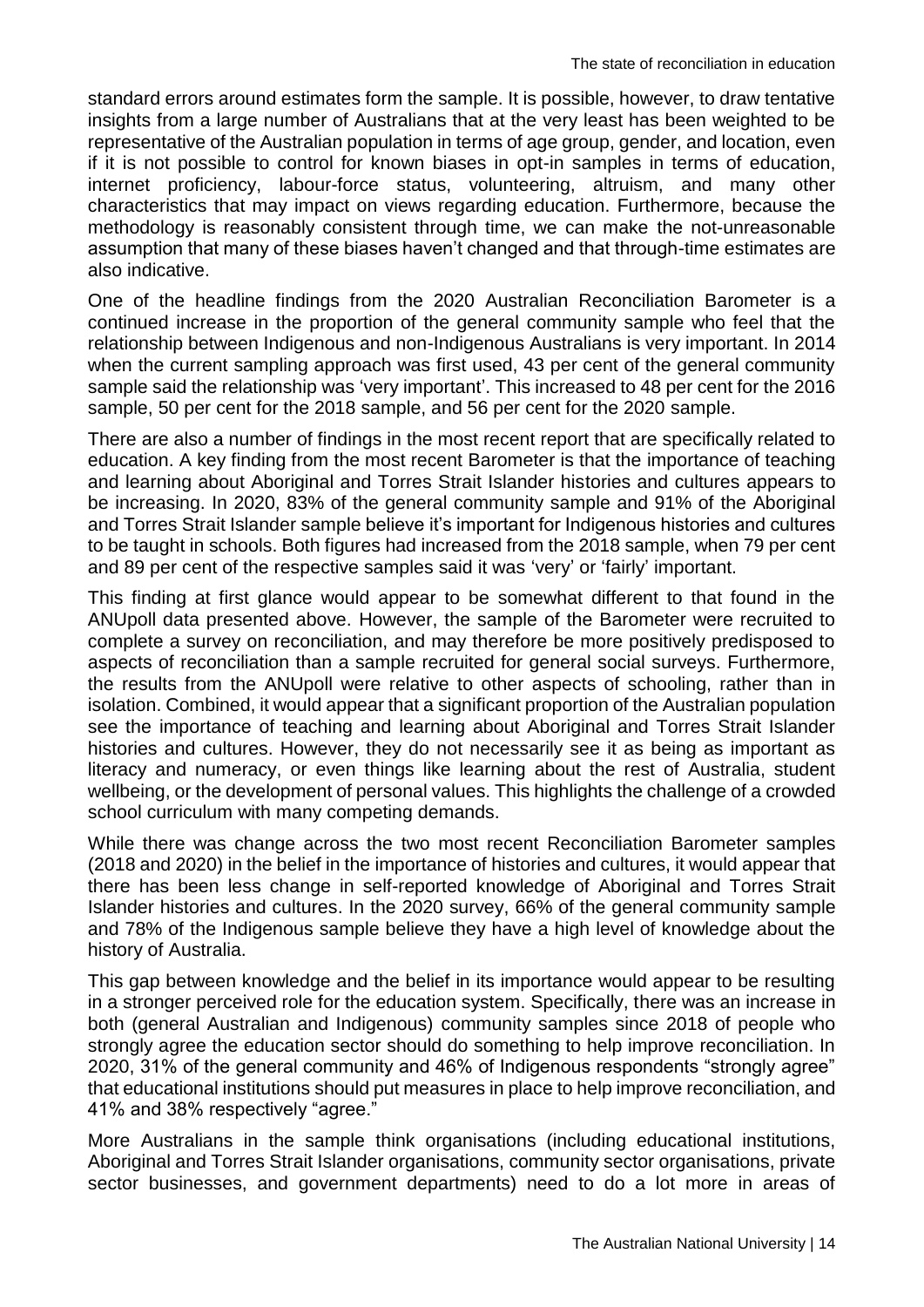standard errors around estimates form the sample. It is possible, however, to draw tentative insights from a large number of Australians that at the very least has been weighted to be representative of the Australian population in terms of age group, gender, and location, even if it is not possible to control for known biases in opt-in samples in terms of education, internet proficiency, labour-force status, volunteering, altruism, and many other characteristics that may impact on views regarding education. Furthermore, because the methodology is reasonably consistent through time, we can make the not-unreasonable assumption that many of these biases haven't changed and that through-time estimates are also indicative.

One of the headline findings from the 2020 Australian Reconciliation Barometer is a continued increase in the proportion of the general community sample who feel that the relationship between Indigenous and non-Indigenous Australians is very important. In 2014 when the current sampling approach was first used, 43 per cent of the general community sample said the relationship was 'very important'. This increased to 48 per cent for the 2016 sample, 50 per cent for the 2018 sample, and 56 per cent for the 2020 sample.

There are also a number of findings in the most recent report that are specifically related to education. A key finding from the most recent Barometer is that the importance of teaching and learning about Aboriginal and Torres Strait Islander histories and cultures appears to be increasing. In 2020, 83% of the general community sample and 91% of the Aboriginal and Torres Strait Islander sample believe it's important for Indigenous histories and cultures to be taught in schools. Both figures had increased from the 2018 sample, when 79 per cent and 89 per cent of the respective samples said it was 'very' or 'fairly' important.

This finding at first glance would appear to be somewhat different to that found in the ANUpoll data presented above. However, the sample of the Barometer were recruited to complete a survey on reconciliation, and may therefore be more positively predisposed to aspects of reconciliation than a sample recruited for general social surveys. Furthermore, the results from the ANUpoll were relative to other aspects of schooling, rather than in isolation. Combined, it would appear that a significant proportion of the Australian population see the importance of teaching and learning about Aboriginal and Torres Strait Islander histories and cultures. However, they do not necessarily see it as being as important as literacy and numeracy, or even things like learning about the rest of Australia, student wellbeing, or the development of personal values. This highlights the challenge of a crowded school curriculum with many competing demands.

While there was change across the two most recent Reconciliation Barometer samples (2018 and 2020) in the belief in the importance of histories and cultures, it would appear that there has been less change in self-reported knowledge of Aboriginal and Torres Strait Islander histories and cultures. In the 2020 survey, 66% of the general community sample and 78% of the Indigenous sample believe they have a high level of knowledge about the history of Australia.

This gap between knowledge and the belief in its importance would appear to be resulting in a stronger perceived role for the education system. Specifically, there was an increase in both (general Australian and Indigenous) community samples since 2018 of people who strongly agree the education sector should do something to help improve reconciliation. In 2020, 31% of the general community and 46% of Indigenous respondents "strongly agree" that educational institutions should put measures in place to help improve reconciliation, and 41% and 38% respectively "agree."

More Australians in the sample think organisations (including educational institutions, Aboriginal and Torres Strait Islander organisations, community sector organisations, private sector businesses, and government departments) need to do a lot more in areas of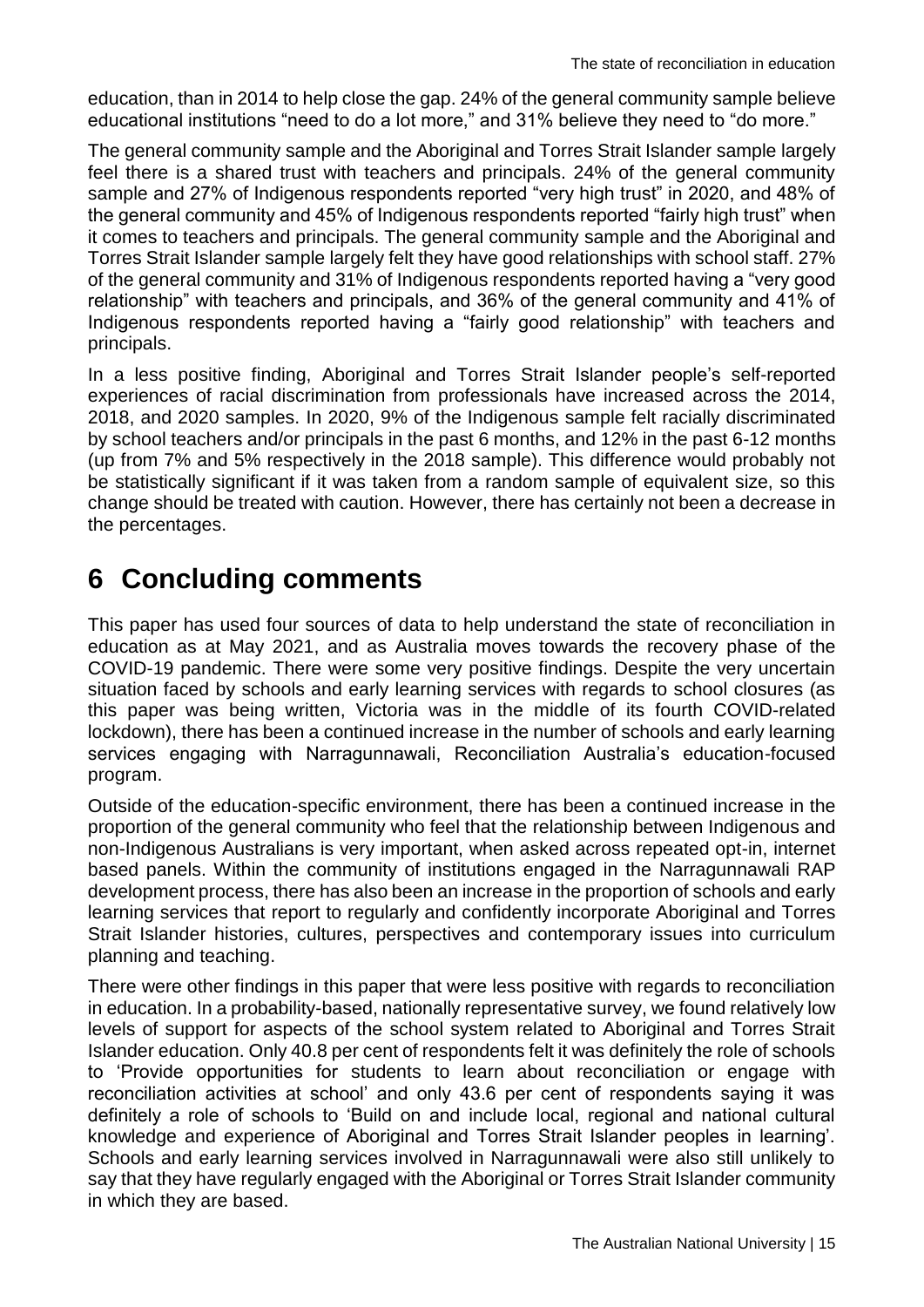education, than in 2014 to help close the gap. 24% of the general community sample believe educational institutions "need to do a lot more," and 31% believe they need to "do more."

The general community sample and the Aboriginal and Torres Strait Islander sample largely feel there is a shared trust with teachers and principals. 24% of the general community sample and 27% of Indigenous respondents reported "very high trust" in 2020, and 48% of the general community and 45% of Indigenous respondents reported "fairly high trust" when it comes to teachers and principals. The general community sample and the Aboriginal and Torres Strait Islander sample largely felt they have good relationships with school staff. 27% of the general community and 31% of Indigenous respondents reported having a "very good relationship" with teachers and principals, and 36% of the general community and 41% of Indigenous respondents reported having a "fairly good relationship" with teachers and principals.

In a less positive finding, Aboriginal and Torres Strait Islander people's self-reported experiences of racial discrimination from professionals have increased across the 2014, 2018, and 2020 samples. In 2020, 9% of the Indigenous sample felt racially discriminated by school teachers and/or principals in the past 6 months, and 12% in the past 6-12 months (up from 7% and 5% respectively in the 2018 sample). This difference would probably not be statistically significant if it was taken from a random sample of equivalent size, so this change should be treated with caution. However, there has certainly not been a decrease in the percentages.

### <span id="page-16-0"></span>**6 Concluding comments**

This paper has used four sources of data to help understand the state of reconciliation in education as at May 2021, and as Australia moves towards the recovery phase of the COVID-19 pandemic. There were some very positive findings. Despite the very uncertain situation faced by schools and early learning services with regards to school closures (as this paper was being written, Victoria was in the middle of its fourth COVID-related lockdown), there has been a continued increase in the number of schools and early learning services engaging with Narragunnawali, Reconciliation Australia's education-focused program.

Outside of the education-specific environment, there has been a continued increase in the proportion of the general community who feel that the relationship between Indigenous and non-Indigenous Australians is very important, when asked across repeated opt-in, internet based panels. Within the community of institutions engaged in the Narragunnawali RAP development process, there has also been an increase in the proportion of schools and early learning services that report to regularly and confidently incorporate Aboriginal and Torres Strait Islander histories, cultures, perspectives and contemporary issues into curriculum planning and teaching.

There were other findings in this paper that were less positive with regards to reconciliation in education. In a probability-based, nationally representative survey, we found relatively low levels of support for aspects of the school system related to Aboriginal and Torres Strait Islander education. Only 40.8 per cent of respondents felt it was definitely the role of schools to 'Provide opportunities for students to learn about reconciliation or engage with reconciliation activities at school' and only 43.6 per cent of respondents saying it was definitely a role of schools to 'Build on and include local, regional and national cultural knowledge and experience of Aboriginal and Torres Strait Islander peoples in learning'. Schools and early learning services involved in Narragunnawali were also still unlikely to say that they have regularly engaged with the Aboriginal or Torres Strait Islander community in which they are based.